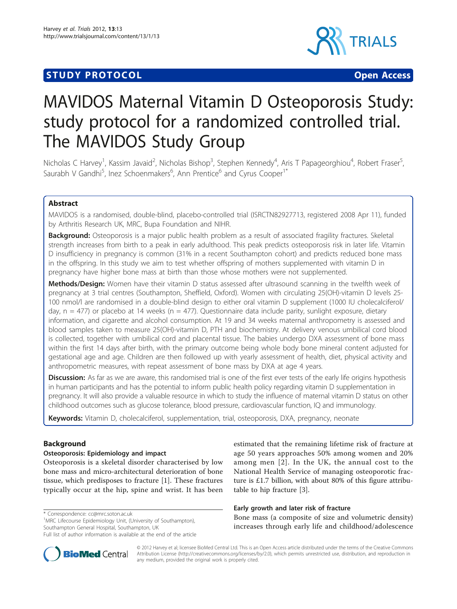# **STUDY PROTOCOL CONSUMING ACCESS**



# MAVIDOS Maternal Vitamin D Osteoporosis Study: study protocol for a randomized controlled trial. The MAVIDOS Study Group

Nicholas C Harvey<sup>1</sup>, Kassim Javaid<sup>2</sup>, Nicholas Bishop<sup>3</sup>, Stephen Kennedy<sup>4</sup>, Aris T Papageorghiou<sup>4</sup>, Robert Fraser<sup>5</sup> , Saurabh V Gandhi<sup>5</sup>, Inez Schoenmakers<sup>6</sup>, Ann Prentice<sup>6</sup> and Cyrus Cooper<sup>1\*</sup>

## Abstract

MAVIDOS is a randomised, double-blind, placebo-controlled trial (ISRCTN82927713, registered 2008 Apr 11), funded by Arthritis Research UK, MRC, Bupa Foundation and NIHR.

**Background:** Osteoporosis is a major public health problem as a result of associated fragility fractures. Skeletal strength increases from birth to a peak in early adulthood. This peak predicts osteoporosis risk in later life. Vitamin D insufficiency in pregnancy is common (31% in a recent Southampton cohort) and predicts reduced bone mass in the offspring. In this study we aim to test whether offspring of mothers supplemented with vitamin D in pregnancy have higher bone mass at birth than those whose mothers were not supplemented.

Methods/Design: Women have their vitamin D status assessed after ultrasound scanning in the twelfth week of pregnancy at 3 trial centres (Southampton, Sheffield, Oxford). Women with circulating 25(OH)-vitamin D levels 25- 100 nmol/l are randomised in a double-blind design to either oral vitamin D supplement (1000 IU cholecalciferol/ day,  $n = 477$ ) or placebo at 14 weeks ( $n = 477$ ). Questionnaire data include parity, sunlight exposure, dietary information, and cigarette and alcohol consumption. At 19 and 34 weeks maternal anthropometry is assessed and blood samples taken to measure 25(OH)-vitamin D, PTH and biochemistry. At delivery venous umbilical cord blood is collected, together with umbilical cord and placental tissue. The babies undergo DXA assessment of bone mass within the first 14 days after birth, with the primary outcome being whole body bone mineral content adjusted for gestational age and age. Children are then followed up with yearly assessment of health, diet, physical activity and anthropometric measures, with repeat assessment of bone mass by DXA at age 4 years.

Discussion: As far as we are aware, this randomised trial is one of the first ever tests of the early life origins hypothesis in human participants and has the potential to inform public health policy regarding vitamin D supplementation in pregnancy. It will also provide a valuable resource in which to study the influence of maternal vitamin D status on other childhood outcomes such as glucose tolerance, blood pressure, cardiovascular function, IQ and immunology.

Keywords: Vitamin D, cholecalciferol, supplementation, trial, osteoporosis, DXA, pregnancy, neonate

## Background

## Osteoporosis: Epidemiology and impact

Osteoporosis is a skeletal disorder characterised by low bone mass and micro-architectural deterioration of bone tissue, which predisposes to fracture [[1](#page-7-0)]. These fractures typically occur at the hip, spine and wrist. It has been

\* Correspondence: [cc@mrc.soton.ac.uk](mailto:cc@mrc.soton.ac.uk)

<sup>1</sup>MRC Lifecourse Epidemiology Unit, (University of Southampton), Southampton General Hospital, Southampton, UK

Full list of author information is available at the end of the article



estimated that the remaining lifetime risk of fracture at age 50 years approaches 50% among women and 20% among men [[2\]](#page-7-0). In the UK, the annual cost to the National Health Service of managing osteoporotic fracture is £1.7 billion, with about 80% of this figure attributable to hip fracture [\[3](#page-7-0)].

## Early growth and later risk of fracture

Bone mass (a composite of size and volumetric density) increases through early life and childhood/adolescence

© 2012 Harvey et al; licensee BioMed Central Ltd. This is an Open Access article distributed under the terms of the Creative Commons Attribution License [\(http://creativecommons.org/licenses/by/2.0](http://creativecommons.org/licenses/by/2.0)), which permits unrestricted use, distribution, and reproduction in any medium, provided the original work is properly cited.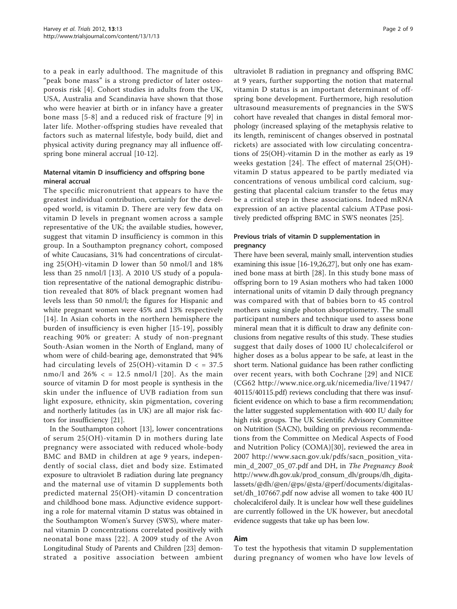to a peak in early adulthood. The magnitude of this "peak bone mass" is a strong predictor of later osteoporosis risk [[4\]](#page-7-0). Cohort studies in adults from the UK, USA, Australia and Scandinavia have shown that those who were heavier at birth or in infancy have a greater bone mass [[5-8](#page-7-0)] and a reduced risk of fracture [[9](#page-7-0)] in later life. Mother-offspring studies have revealed that factors such as maternal lifestyle, body build, diet and physical activity during pregnancy may all influence offspring bone mineral accrual [\[10-12](#page-7-0)].

## Maternal vitamin D insufficiency and offspring bone mineral accrual

The specific micronutrient that appears to have the greatest individual contribution, certainly for the developed world, is vitamin D. There are very few data on vitamin D levels in pregnant women across a sample representative of the UK; the available studies, however, suggest that vitamin D insufficiency is common in this group. In a Southampton pregnancy cohort, composed of white Caucasians, 31% had concentrations of circulating 25(OH)-vitamin D lower than 50 nmol/l and 18% less than 25 nmol/l [[13](#page-7-0)]. A 2010 US study of a population representative of the national demographic distribution revealed that 80% of black pregnant women had levels less than 50 nmol/l; the figures for Hispanic and white pregnant women were 45% and 13% respectively [[14](#page-8-0)]. In Asian cohorts in the northern hemisphere the burden of insufficiency is even higher [\[15](#page-8-0)-[19](#page-8-0)], possibly reaching 90% or greater: A study of non-pregnant South-Asian women in the North of England, many of whom were of child-bearing age, demonstrated that 94% had circulating levels of  $25(OH)$ -vitamin D < = 37.5 nmo/l and  $26\%$  < = 12.5 nmol/l [[20\]](#page-8-0). As the main source of vitamin D for most people is synthesis in the skin under the influence of UVB radiation from sun light exposure, ethnicity, skin pigmentation, covering and northerly latitudes (as in UK) are all major risk factors for insufficiency [[21](#page-8-0)].

In the Southampton cohort [\[13](#page-7-0)], lower concentrations of serum 25(OH)-vitamin D in mothers during late pregnancy were associated with reduced whole-body BMC and BMD in children at age 9 years, independently of social class, diet and body size. Estimated exposure to ultraviolet B radiation during late pregnancy and the maternal use of vitamin D supplements both predicted maternal 25(OH)-vitamin D concentration and childhood bone mass. Adjunctive evidence supporting a role for maternal vitamin D status was obtained in the Southampton Women's Survey (SWS), where maternal vitamin D concentrations correlated positively with neonatal bone mass [[22\]](#page-8-0). A 2009 study of the Avon Longitudinal Study of Parents and Children [[23](#page-8-0)] demonstrated a positive association between ambient

ultraviolet B radiation in pregnancy and offspring BMC at 9 years, further supporting the notion that maternal vitamin D status is an important determinant of offspring bone development. Furthermore, high resolution ultrasound measurements of pregnancies in the SWS cohort have revealed that changes in distal femoral morphology (increased splaying of the metaphysis relative to its length, reminiscent of changes observed in postnatal rickets) are associated with low circulating concentrations of 25(OH)-vitamin D in the mother as early as 19 weeks gestation [[24\]](#page-8-0). The effect of maternal 25(OH) vitamin D status appeared to be partly mediated via concentrations of venous umbilical cord calcium, suggesting that placental calcium transfer to the fetus may be a critical step in these associations. Indeed mRNA expression of an active placental calcium ATPase positively predicted offspring BMC in SWS neonates [\[25](#page-8-0)].

## Previous trials of vitamin D supplementation in pregnancy

There have been several, mainly small, intervention studies examining this issue [\[16-19,26,27\]](#page-8-0), but only one has examined bone mass at birth [[28\]](#page-8-0). In this study bone mass of offspring born to 19 Asian mothers who had taken 1000 international units of vitamin D daily through pregnancy was compared with that of babies born to 45 control mothers using single photon absorptiometry. The small participant numbers and technique used to assess bone mineral mean that it is difficult to draw any definite conclusions from negative results of this study. These studies suggest that daily doses of 1000 IU cholecalciferol or higher doses as a bolus appear to be safe, at least in the short term. National guidance has been rather conflicting over recent years, with both Cochrane [[29](#page-8-0)] and NICE (CG62 [http://www.nice.org.uk/nicemedia/live/11947/](http://www.nice.org.uk/nicemedia/live/11947/40115/40115.pdf) [40115/40115.pdf](http://www.nice.org.uk/nicemedia/live/11947/40115/40115.pdf)) reviews concluding that there was insufficient evidence on which to base a firm recommendation; the latter suggested supplementation with 400 IU daily for high risk groups. The UK Scientific Advisory Committee on Nutrition (SACN), building on previous recommendations from the Committee on Medical Aspects of Food and Nutrition Policy (COMA)[[30](#page-8-0)], reviewed the area in 2007 [http://www.sacn.gov.uk/pdfs/sacn\\_position\\_vita](http://www.sacn.gov.uk/pdfs/sacn_position_vitamin_d_2007_05_07.pdf)[min\\_d\\_2007\\_05\\_07.pdf](http://www.sacn.gov.uk/pdfs/sacn_position_vitamin_d_2007_05_07.pdf) and DH, in The Pregnancy Book [http://www.dh.gov.uk/prod\\_consum\\_dh/groups/dh\\_digita](http://www.dh.gov.uk/prod_consum_dh/groups/dh_digitalassets/@dh/@en/@ps/@sta/@perf/documents/digitalasset/dh_107667.pdf)[lassets/@dh/@en/@ps/@sta/@perf/documents/digitalas](http://www.dh.gov.uk/prod_consum_dh/groups/dh_digitalassets/@dh/@en/@ps/@sta/@perf/documents/digitalasset/dh_107667.pdf)[set/dh\\_107667.pdf](http://www.dh.gov.uk/prod_consum_dh/groups/dh_digitalassets/@dh/@en/@ps/@sta/@perf/documents/digitalasset/dh_107667.pdf) now advise all women to take 400 IU cholecalciferol daily. It is unclear how well these guidelines are currently followed in the UK however, but anecdotal evidence suggests that take up has been low.

## Aim

To test the hypothesis that vitamin D supplementation during pregnancy of women who have low levels of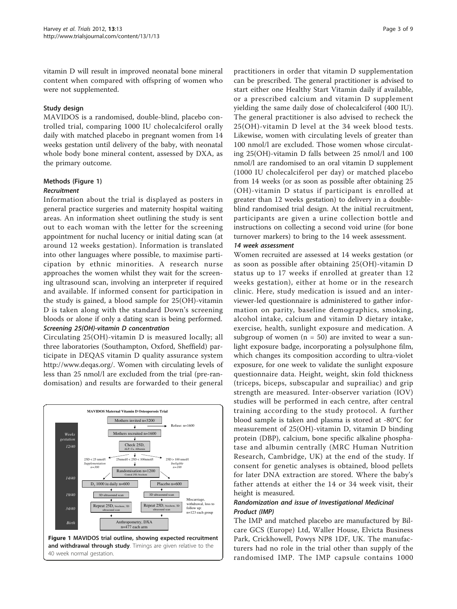vitamin D will result in improved neonatal bone mineral content when compared with offspring of women who were not supplemented.

## Study design

MAVIDOS is a randomised, double-blind, placebo controlled trial, comparing 1000 IU cholecalciferol orally daily with matched placebo in pregnant women from 14 weeks gestation until delivery of the baby, with neonatal whole body bone mineral content, assessed by DXA, as the primary outcome.

## Methods (Figure 1)

## Recruitment

Information about the trial is displayed as posters in general practice surgeries and maternity hospital waiting areas. An information sheet outlining the study is sent out to each woman with the letter for the screening appointment for nuchal lucency or initial dating scan (at around 12 weeks gestation). Information is translated into other languages where possible, to maximise participation by ethnic minorities. A research nurse approaches the women whilst they wait for the screening ultrasound scan, involving an interpreter if required and available. If informed consent for participation in the study is gained, a blood sample for 25(OH)-vitamin D is taken along with the standard Down's screening bloods or alone if only a dating scan is being performed. Screening 25(OH)-vitamin D concentration

Circulating 25(OH)-vitamin D is measured locally; all three laboratories (Southampton, Oxford, Sheffield) participate in DEQAS vitamin D quality assurance system [http://www.deqas.org/.](http://www.deqas.org/) Women with circulating levels of less than 25 nmol/l are excluded from the trial (pre-randomisation) and results are forwarded to their general



practitioners in order that vitamin D supplementation can be prescribed. The general practitioner is advised to start either one Healthy Start Vitamin daily if available, or a prescribed calcium and vitamin D supplement yielding the same daily dose of cholecalciferol (400 IU). The general practitioner is also advised to recheck the 25(OH)-vitamin D level at the 34 week blood tests. Likewise, women with circulating levels of greater than 100 nmol/l are excluded. Those women whose circulating 25(OH)-vitamin D falls between 25 nmol/l and 100 nmol/l are randomised to an oral vitamin D supplement (1000 IU cholecalciferol per day) or matched placebo from 14 weeks (or as soon as possible after obtaining 25 (OH)-vitamin D status if participant is enrolled at greater than 12 weeks gestation) to delivery in a doubleblind randomised trial design. At the initial recruitment, participants are given a urine collection bottle and instructions on collecting a second void urine (for bone turnover markers) to bring to the 14 week assessment.

## 14 week assessment

Women recruited are assessed at 14 weeks gestation (or as soon as possible after obtaining 25(OH)-vitamin D status up to 17 weeks if enrolled at greater than 12 weeks gestation), either at home or in the research clinic. Here, study medication is issued and an interviewer-led questionnaire is administered to gather information on parity, baseline demographics, smoking, alcohol intake, calcium and vitamin D dietary intake, exercise, health, sunlight exposure and medication. A subgroup of women  $(n = 50)$  are invited to wear a sunlight exposure badge, incorporating a polysulphone film, which changes its composition according to ultra-violet exposure, for one week to validate the sunlight exposure questionnaire data. Height, weight, skin fold thickness (triceps, biceps, subscapular and suprailiac) and grip strength are measured. Inter-observer variation (IOV) studies will be performed in each centre, after central training according to the study protocol. A further blood sample is taken and plasma is stored at -80°C for measurement of 25(OH)-vitamin D, vitamin D binding protein (DBP), calcium, bone specific alkaline phosphatase and albumin centrally (MRC Human Nutrition Research, Cambridge, UK) at the end of the study. If consent for genetic analyses is obtained, blood pellets for later DNA extraction are stored. Where the baby's father attends at either the 14 or 34 week visit, their height is measured.

## Randomization and issue of Investigational Medicinal Product (IMP)

The IMP and matched placebo are manufactured by Bilcare GCS (Europe) Ltd, Waller House, Elvicta Business Park, Crickhowell, Powys NP8 1DF, UK. The manufacturers had no role in the trial other than supply of the randomised IMP. The IMP capsule contains 1000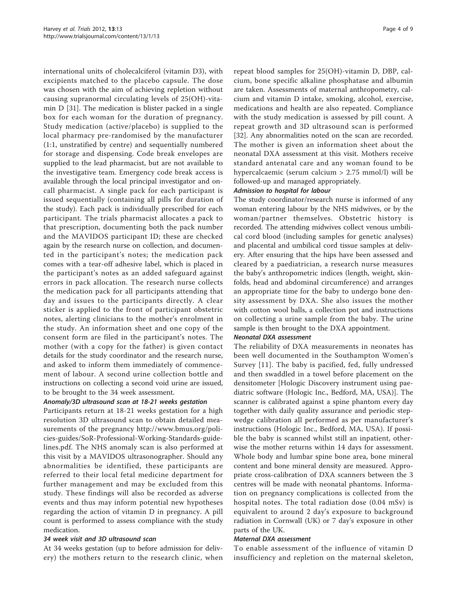international units of cholecalciferol (vitamin D3), with excipients matched to the placebo capsule. The dose was chosen with the aim of achieving repletion without causing supranormal circulating levels of 25(OH)-vitamin D [[31\]](#page-8-0). The medication is blister packed in a single box for each woman for the duration of pregnancy. Study medication (active/placebo) is supplied to the local pharmacy pre-randomised by the manufacturer (1:1, unstratified by centre) and sequentially numbered for storage and dispensing. Code break envelopes are supplied to the lead pharmacist, but are not available to the investigative team. Emergency code break access is available through the local principal investigator and oncall pharmacist. A single pack for each participant is issued sequentially (containing all pills for duration of the study). Each pack is individually prescribed for each participant. The trials pharmacist allocates a pack to that prescription, documenting both the pack number and the MAVIDOS participant ID; these are checked again by the research nurse on collection, and documented in the participant's notes; the medication pack comes with a tear-off adhesive label, which is placed in the participant's notes as an added safeguard against errors in pack allocation. The research nurse collects the medication pack for all participants attending that day and issues to the participants directly. A clear sticker is applied to the front of participant obstetric notes, alerting clinicians to the mother's enrolment in the study. An information sheet and one copy of the consent form are filed in the participant's notes. The mother (with a copy for the father) is given contact details for the study coordinator and the research nurse, and asked to inform them immediately of commencement of labour. A second urine collection bottle and instructions on collecting a second void urine are issued, to be brought to the 34 week assessment.

## Anomaly/3D ultrasound scan at 18-21 weeks gestation

Participants return at 18-21 weeks gestation for a high resolution 3D ultrasound scan to obtain detailed measurements of the pregnancy [http://www.bmus.org/poli](http://www.bmus.org/policies-guides/SoR-Professional-Working-Standards-guidelines.pdf)[cies-guides/SoR-Professional-Working-Standards-guide](http://www.bmus.org/policies-guides/SoR-Professional-Working-Standards-guidelines.pdf)[lines.pdf.](http://www.bmus.org/policies-guides/SoR-Professional-Working-Standards-guidelines.pdf) The NHS anomaly scan is also performed at this visit by a MAVIDOS ultrasonographer. Should any abnormalities be identified, these participants are referred to their local fetal medicine department for further management and may be excluded from this study. These findings will also be recorded as adverse events and thus may inform potential new hypotheses regarding the action of vitamin D in pregnancy. A pill count is performed to assess compliance with the study medication.

## 34 week visit and 3D ultrasound scan

At 34 weeks gestation (up to before admission for delivery) the mothers return to the research clinic, when repeat blood samples for 25(OH)-vitamin D, DBP, calcium, bone specific alkaline phosphatase and albumin are taken. Assessments of maternal anthropometry, calcium and vitamin D intake, smoking, alcohol, exercise, medications and health are also repeated. Compliance with the study medication is assessed by pill count. A repeat growth and 3D ultrasound scan is performed [[32\]](#page-8-0). Any abnormalities noted on the scan are recorded. The mother is given an information sheet about the neonatal DXA assessment at this visit. Mothers receive standard antenatal care and any woman found to be hypercalcaemic (serum calcium > 2.75 mmol/l) will be followed-up and managed appropriately.

## Admission to hospital for labour

The study coordinator/research nurse is informed of any woman entering labour by the NHS midwives, or by the woman/partner themselves. Obstetric history is recorded. The attending midwives collect venous umbilical cord blood (including samples for genetic analyses) and placental and umbilical cord tissue samples at delivery. After ensuring that the hips have been assessed and cleared by a paediatrician, a research nurse measures the baby's anthropometric indices (length, weight, skinfolds, head and abdominal circumference) and arranges an appropriate time for the baby to undergo bone density assessment by DXA. She also issues the mother with cotton wool balls, a collection pot and instructions on collecting a urine sample from the baby. The urine sample is then brought to the DXA appointment.

## Neonatal DXA assessment

The reliability of DXA measurements in neonates has been well documented in the Southampton Women's Survey [\[11\]](#page-7-0). The baby is pacified, fed, fully undressed and then swaddled in a towel before placement on the densitometer [Hologic Discovery instrument using paediatric software (Hologic Inc., Bedford, MA, USA)]. The scanner is calibrated against a spine phantom every day together with daily quality assurance and periodic stepwedge calibration all performed as per manufacturer's instructions (Hologic Inc., Bedford, MA, USA). If possible the baby is scanned whilst still an inpatient, otherwise the mother returns within 14 days for assessment. Whole body and lumbar spine bone area, bone mineral content and bone mineral density are measured. Appropriate cross-calibration of DXA scanners between the 3 centres will be made with neonatal phantoms. Information on pregnancy complications is collected from the hospital notes. The total radiation dose (0.04 mSv) is equivalent to around 2 day's exposure to background radiation in Cornwall (UK) or 7 day's exposure in other parts of the UK.

## Maternal DXA assessment

To enable assessment of the influence of vitamin D insufficiency and repletion on the maternal skeleton,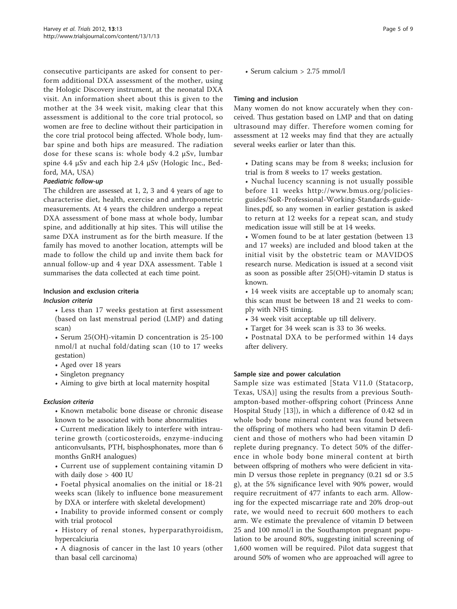consecutive participants are asked for consent to perform additional DXA assessment of the mother, using the Hologic Discovery instrument, at the neonatal DXA visit. An information sheet about this is given to the mother at the 34 week visit, making clear that this assessment is additional to the core trial protocol, so women are free to decline without their participation in the core trial protocol being affected. Whole body, lumbar spine and both hips are measured. The radiation dose for these scans is: whole body 4.2 μSv, lumbar spine 4.4 μSv and each hip 2.4 μSv (Hologic Inc., Bedford, MA, USA)

## Paediatric follow-up

The children are assessed at 1, 2, 3 and 4 years of age to characterise diet, health, exercise and anthropometric measurements. At 4 years the children undergo a repeat DXA assessment of bone mass at whole body, lumbar spine, and additionally at hip sites. This will utilise the same DXA instrument as for the birth measure. If the family has moved to another location, attempts will be made to follow the child up and invite them back for annual follow-up and 4 year DXA assessment. Table [1](#page-5-0) summarises the data collected at each time point.

## Inclusion and exclusion criteria

## Inclusion criteria

• Less than 17 weeks gestation at first assessment (based on last menstrual period (LMP) and dating scan)

• Serum 25(OH)-vitamin D concentration is 25-100 nmol/l at nuchal fold/dating scan (10 to 17 weeks gestation)

- Aged over 18 years
- Singleton pregnancy
- Aiming to give birth at local maternity hospital

## Exclusion criteria

• Known metabolic bone disease or chronic disease known to be associated with bone abnormalities

• Current medication likely to interfere with intrauterine growth (corticosteroids, enzyme-inducing anticonvulsants, PTH, bisphosphonates, more than 6 months GnRH analogues)

• Current use of supplement containing vitamin D with daily dose > 400 IU

• Foetal physical anomalies on the initial or 18-21 weeks scan (likely to influence bone measurement by DXA or interfere with skeletal development)

• Inability to provide informed consent or comply with trial protocol

• History of renal stones, hyperparathyroidism, hypercalciuria

• A diagnosis of cancer in the last 10 years (other than basal cell carcinoma)

• Serum calcium  $> 2.75$  mmol/l

## Timing and inclusion

Many women do not know accurately when they conceived. Thus gestation based on LMP and that on dating ultrasound may differ. Therefore women coming for assessment at 12 weeks may find that they are actually several weeks earlier or later than this.

• Dating scans may be from 8 weeks; inclusion for trial is from 8 weeks to 17 weeks gestation.

• Nuchal lucency scanning is not usually possible before 11 weeks [http://www.bmus.org/policies](http://www.bmus.org/policies-guides/SoR-Professional-Working-Standards-guidelines.pdf)[guides/SoR-Professional-Working-Standards-guide](http://www.bmus.org/policies-guides/SoR-Professional-Working-Standards-guidelines.pdf)[lines.pdf,](http://www.bmus.org/policies-guides/SoR-Professional-Working-Standards-guidelines.pdf) so any women in earlier gestation is asked to return at 12 weeks for a repeat scan, and study medication issue will still be at 14 weeks.

• Women found to be at later gestation (between 13 and 17 weeks) are included and blood taken at the initial visit by the obstetric team or MAVIDOS research nurse. Medication is issued at a second visit as soon as possible after 25(OH)-vitamin D status is known.

• 14 week visits are acceptable up to anomaly scan; this scan must be between 18 and 21 weeks to comply with NHS timing.

- 34 week visit acceptable up till delivery.
- Target for 34 week scan is 33 to 36 weeks.
- Postnatal DXA to be performed within 14 days after delivery.

## Sample size and power calculation

Sample size was estimated [Stata V11.0 (Statacorp, Texas, USA)] using the results from a previous Southampton-based mother-offspring cohort (Princess Anne Hospital Study [[13\]](#page-7-0)), in which a difference of 0.42 sd in whole body bone mineral content was found between the offspring of mothers who had been vitamin D deficient and those of mothers who had been vitamin D replete during pregnancy. To detect 50% of the difference in whole body bone mineral content at birth between offspring of mothers who were deficient in vitamin D versus those replete in pregnancy (0.21 sd or 3.5 g), at the 5% significance level with 90% power, would require recruitment of 477 infants to each arm. Allowing for the expected miscarriage rate and 20% drop-out rate, we would need to recruit 600 mothers to each arm. We estimate the prevalence of vitamin D between 25 and 100 nmol/l in the Southampton pregnant population to be around 80%, suggesting initial screening of 1,600 women will be required. Pilot data suggest that around 50% of women who are approached will agree to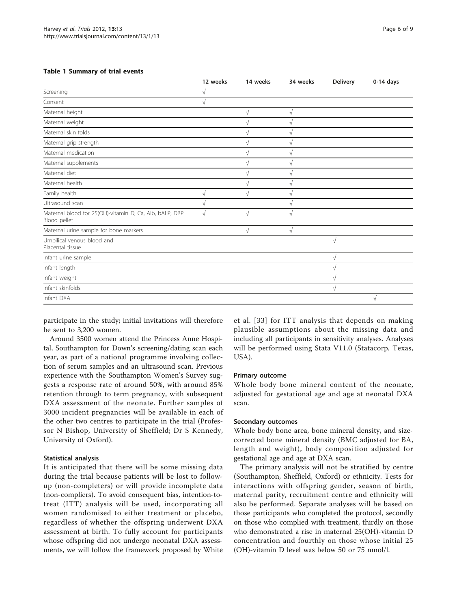<span id="page-5-0"></span>

|                                                                         | 12 weeks   | 14 weeks  | 34 weeks  | <b>Delivery</b> | $0-14$ days |
|-------------------------------------------------------------------------|------------|-----------|-----------|-----------------|-------------|
| Screening                                                               | $\sqrt{ }$ |           |           |                 |             |
| Consent                                                                 | $\sqrt{}$  |           |           |                 |             |
| Maternal height                                                         |            |           | ν         |                 |             |
| Maternal weight                                                         |            |           | V         |                 |             |
| Maternal skin folds                                                     |            | N         | $\sqrt{}$ |                 |             |
| Maternal grip strength                                                  |            |           | V         |                 |             |
| Maternal medication                                                     |            |           | $\sqrt{}$ |                 |             |
| Maternal supplements                                                    |            |           | $\sqrt{}$ |                 |             |
| Maternal diet                                                           |            |           | ν         |                 |             |
| Maternal health                                                         |            | Ń         | $\sqrt{}$ |                 |             |
| Family health                                                           | V          |           | V         |                 |             |
| Ultrasound scan                                                         | V          |           |           |                 |             |
| Maternal blood for 25(OH)-vitamin D, Ca, Alb, bALP, DBP<br>Blood pellet | $\sqrt{ }$ | $\sqrt{}$ | V         |                 |             |
| Maternal urine sample for bone markers                                  |            | V         | V         |                 |             |
| Umbilical venous blood and<br>Placental tissue                          |            |           |           | $\sqrt{ }$      |             |
| Infant urine sample                                                     |            |           |           | V               |             |
| Infant length                                                           |            |           |           | À.              |             |
| Infant weight                                                           |            |           |           |                 |             |
| Infant skinfolds                                                        |            |           |           | V               |             |
| Infant DXA                                                              |            |           |           |                 |             |

participate in the study; initial invitations will therefore be sent to 3,200 women.

Around 3500 women attend the Princess Anne Hospital, Southampton for Down's screening/dating scan each year, as part of a national programme involving collection of serum samples and an ultrasound scan. Previous experience with the Southampton Women's Survey suggests a response rate of around 50%, with around 85% retention through to term pregnancy, with subsequent DXA assessment of the neonate. Further samples of 3000 incident pregnancies will be available in each of the other two centres to participate in the trial (Professor N Bishop, University of Sheffield; Dr S Kennedy, University of Oxford).

## Statistical analysis

It is anticipated that there will be some missing data during the trial because patients will be lost to followup (non-completers) or will provide incomplete data (non-compliers). To avoid consequent bias, intention-totreat (ITT) analysis will be used, incorporating all women randomised to either treatment or placebo, regardless of whether the offspring underwent DXA assessment at birth. To fully account for participants whose offspring did not undergo neonatal DXA assessments, we will follow the framework proposed by White et al. [[33](#page-8-0)] for ITT analysis that depends on making plausible assumptions about the missing data and including all participants in sensitivity analyses. Analyses will be performed using Stata V11.0 (Statacorp, Texas, USA).

#### Primary outcome

Whole body bone mineral content of the neonate, adjusted for gestational age and age at neonatal DXA scan.

#### Secondary outcomes

Whole body bone area, bone mineral density, and sizecorrected bone mineral density (BMC adjusted for BA, length and weight), body composition adjusted for gestational age and age at DXA scan.

The primary analysis will not be stratified by centre (Southampton, Sheffield, Oxford) or ethnicity. Tests for interactions with offspring gender, season of birth, maternal parity, recruitment centre and ethnicity will also be performed. Separate analyses will be based on those participants who completed the protocol, secondly on those who complied with treatment, thirdly on those who demonstrated a rise in maternal 25(OH)-vitamin D concentration and fourthly on those whose initial 25 (OH)-vitamin D level was below 50 or 75 nmol/l.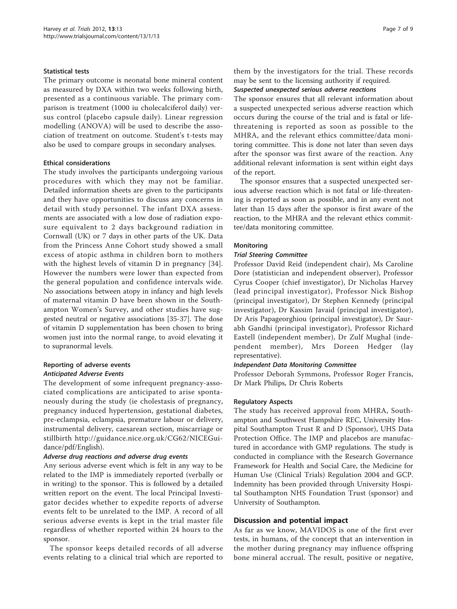## Statistical tests

The primary outcome is neonatal bone mineral content as measured by DXA within two weeks following birth, presented as a continuous variable. The primary comparison is treatment (1000 iu cholecalciferol daily) versus control (placebo capsule daily). Linear regression modelling (ANOVA) will be used to describe the association of treatment on outcome. Student's t-tests may also be used to compare groups in secondary analyses.

## Ethical considerations

The study involves the participants undergoing various procedures with which they may not be familiar. Detailed information sheets are given to the participants and they have opportunities to discuss any concerns in detail with study personnel. The infant DXA assessments are associated with a low dose of radiation exposure equivalent to 2 days background radiation in Cornwall (UK) or 7 days in other parts of the UK. Data from the Princess Anne Cohort study showed a small excess of atopic asthma in children born to mothers with the highest levels of vitamin D in pregnancy [[34](#page-8-0)]. However the numbers were lower than expected from the general population and confidence intervals wide. No associations between atopy in infancy and high levels of maternal vitamin D have been shown in the Southampton Women's Survey, and other studies have suggested neutral or negative associations [[35-37](#page-8-0)]. The dose of vitamin D supplementation has been chosen to bring women just into the normal range, to avoid elevating it to supranormal levels.

## Reporting of adverse events Anticipated Adverse Events

The development of some infrequent pregnancy-associated complications are anticipated to arise spontaneously during the study (ie cholestasis of pregnancy, pregnancy induced hypertension, gestational diabetes, pre-eclampsia, eclampsia, premature labour or delivery, instrumental delivery, caesarean section, miscarriage or stillbirth [http://guidance.nice.org.uk/CG62/NICEGui](http://guidance.nice.org.uk/CG62/NICEGuidance/pdf/English)[dance/pdf/English](http://guidance.nice.org.uk/CG62/NICEGuidance/pdf/English)).

## Adverse drug reactions and adverse drug events

Any serious adverse event which is felt in any way to be related to the IMP is immediately reported (verbally or in writing) to the sponsor. This is followed by a detailed written report on the event. The local Principal Investigator decides whether to expedite reports of adverse events felt to be unrelated to the IMP. A record of all serious adverse events is kept in the trial master file regardless of whether reported within 24 hours to the sponsor.

The sponsor keeps detailed records of all adverse events relating to a clinical trial which are reported to them by the investigators for the trial. These records may be sent to the licensing authority if required.

## Suspected unexpected serious adverse reactions

The sponsor ensures that all relevant information about a suspected unexpected serious adverse reaction which occurs during the course of the trial and is fatal or lifethreatening is reported as soon as possible to the MHRA, and the relevant ethics committee/data monitoring committee. This is done not later than seven days after the sponsor was first aware of the reaction. Any additional relevant information is sent within eight days of the report.

The sponsor ensures that a suspected unexpected serious adverse reaction which is not fatal or life-threatening is reported as soon as possible, and in any event not later than 15 days after the sponsor is first aware of the reaction, to the MHRA and the relevant ethics committee/data monitoring committee.

## Monitoring

## Trial Steering Committee

Professor David Reid (independent chair), Ms Caroline Dore (statistician and independent observer), Professor Cyrus Cooper (chief investigator), Dr Nicholas Harvey (lead principal investigator), Professor Nick Bishop (principal investigator), Dr Stephen Kennedy (principal investigator), Dr Kassim Javaid (principal investigator), Dr Aris Papageorghiou (principal investigator), Dr Saurabh Gandhi (principal investigator), Professor Richard Eastell (independent member), Dr Zulf Mughal (independent member), Mrs Doreen Hedger (lay representative).

## Independent Data Monitoring Committee

Professor Deborah Symmons, Professor Roger Francis, Dr Mark Philips, Dr Chris Roberts

## Regulatory Aspects

The study has received approval from MHRA, Southampton and Southwest Hampshire REC, University Hospital Southampton Trust R and D (Sponsor), UHS Data Protection Office. The IMP and placebos are manufactured in accordance with GMP regulations. The study is conducted in compliance with the Research Governance Framework for Health and Social Care, the Medicine for Human Use (Clinical Trials) Regulation 2004 and GCP. Indemnity has been provided through University Hospital Southampton NHS Foundation Trust (sponsor) and University of Southampton.

## Discussion and potential impact

As far as we know, MAVIDOS is one of the first ever tests, in humans, of the concept that an intervention in the mother during pregnancy may influence offspring bone mineral accrual. The result, positive or negative,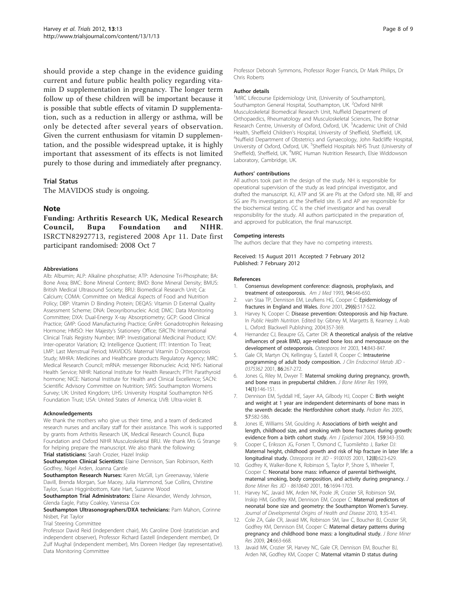<span id="page-7-0"></span>should provide a step change in the evidence guiding current and future public health policy regarding vitamin D supplementation in pregnancy. The longer term follow up of these children will be important because it is possible that subtle effects of vitamin D supplementation, such as a reduction in allergy or asthma, will be only be detected after several years of observation. Given the current enthusiasm for vitamin D supplementation, and the possible widespread uptake, it is highly important that assessment of its effects is not limited purely to those during and immediately after pregnancy.

## Trial Status

The MAVIDOS study is ongoing.

#### **Note**

Funding: Arthritis Research UK, Medical Research Council, Bupa Foundation and NIHR. ISRCTN82927713, registered 2008 Apr 11. Date first participant randomised: 2008 Oct 7

#### Abbreviations

Alb: Albumin; ALP: Alkaline phosphatise; ATP: Adenosine Tri-Phosphate; BA: Bone Area; BMC: Bone Mineral Content; BMD: Bone Mineral Density; BMUS: British Medical Ultrasound Society; BRU: Biomedical Research Unit; Ca: Calcium; COMA: Committee on Medical Aspects of Food and Nutrition Policy; DBP: Vitamin D Binding Protein; DEQAS: Vitamin D External Quality Assessment Scheme; DNA: Deoxyribonucleic Acid; DMC: Data Monitoring Committee; DXA: Dual-Energy X-ray Absorptiometry; GCP: Good Clinical Practice; GMP: Good Manufacturing Practice; GnRH: Gonadotrophin Releasing Hormone; HMSO: Her Majesty's Stationery Office; ISRCTN: International Clinical Trials Registry Number; IMP: Investigational Medicinal Product; IOV: Inter-operator Variation; IQ: Intelligence Quotient; ITT: Intention To Treat; LMP: Last Menstrual Period; MAVIDOS: Maternal Vitamin D Osteoporosis Study; MHRA: Medicines and Healthcare products Regulatory Agency; MRC: Medical Research Council; mRNA: messenger Ribonucleic Acid; NHS: National Health Service; NIHR: National Institute for Health Research; PTH: Parathyroid hormone; NICE: National Institute for Health and Clinical Excellence; SACN: Scientific Advisory Committee on Nutrition; SWS: Southampton Womens Survey; UK: United Kingdom; UHS: University Hospital Southampton NHS Foundation Trust; USA: United States of America; UVB: Ultra-violet B.

#### Acknowledgements

We thank the mothers who give us their time, and a team of dedicated research nurses and ancillary staff for their assistance. This work is supported by grants from Arthritis Research UK, Medical Research Council, Bupa Foundation and Oxford NIHR Musculoskeletal BRU. We thank Mrs G Strange for helping prepare the manuscript. We also thank the following: Trial statisticians: Sarah Crozier, Hazel Inskip

Southampton Clinical Scientists: Elaine Dennison, Sian Robinson, Keith Godfrey, Nigel Arden, Joanna Cantle

Southampton Research Nurses: Karen McGill, Lyn Greenaway, Valerie Davill, Brenda Morgan, Sue Macey, Julia Hammond, Sue Collins, Christine Taylor, Susan Higginbottom, Kate Hart, Suzanne Wood

Southampton Trial Administrators: Elaine Alexander, Wendy Johnson, Glenda Eagle, Patsy Coakley, Vanessa Cox

Southampton Ultrasonographers/DXA technicians: Pam Mahon, Corinne Nisbet, Pat Taylor

Trial Steering Committee

Professor David Reid (independent chair), Ms Caroline Doré (statistician and independent observer), Professor Richard Eastell (independent member), Dr Zulf Mughal (independent member), Mrs Doreen Hedger (lay representative). Data Monitoring Committee

Professor Deborah Symmons, Professor Roger Francis, Dr Mark Philips, Dr Chris Roberts

#### Author details

<sup>1</sup>MRC Lifecourse Epidemiology Unit, (University of Southampton), Southampton General Hospital, Southampton, UK. <sup>2</sup>Oxford NIHR Musculoskeletal Biomedical Research Unit, Nuffield Department of Orthopaedics, Rheumatology and Musculoskeletal Sciences, The Botnar Research Centre, University of Oxford, Oxford, UK.<sup>3</sup> Academic Unit of Child Health, Sheffield Children's Hospital, University of Sheffield, Sheffield, UK. <sup>4</sup> <sup>4</sup>Nuffield Department of Obstetrics and Gynaecology, John Radcliffe Hospital, University of Oxford, Oxford, UK. <sup>5</sup>Sheffield Hospitals NHS Trust (University of Sheffield), Sheffield, UK. <sup>6</sup>MRC Human Nutrition Research, Elsie Widdowson Laboratory, Cambridge, UK.

#### Authors' contributions

All authors took part in the design of the study. NH is responsible for operational supervision of the study as lead principal investigator, and drafted the manuscript. KJ, ATP and SK are PIs at the Oxford site. NB, RF and SG are PIs investigators at the Sheffield site. IS and AP are responsible for the biochemical testing. CC is the chief investigator and has overall responsibility for the study. All authors participated in the preparation of, and approved for publication, the final manuscript.

#### Competing interests

The authors declare that they have no competing interests.

Received: 15 August 2011 Accepted: 7 February 2012 Published: 7 February 2012

#### References

- 1. Consensus development conference: diagnosis, prophylaxis, and treatment of osteoporosis. Am J Med 1993, 94:646-650.
- 2. van Staa TP, Dennison EM, Leufkens HG, Cooper C: [Epidemiology of](http://www.ncbi.nlm.nih.gov/pubmed/11728921?dopt=Abstract) [fractures in England and Wales.](http://www.ncbi.nlm.nih.gov/pubmed/11728921?dopt=Abstract) Bone 2001, 29(6):517-522.
- 3. Harvey N, Cooper C: Disease prevention: Osteoporosis and hip fracture. In Public Health Nutrition. Edited by: Gibney M, Margetts B, Kearney J, Arab L. Oxford: Blackwell Publishing; 2004:357-369.
- 4. Hernandez CJ, Beaupre GS, Carter DR: [A theoretical analysis of the relative](http://www.ncbi.nlm.nih.gov/pubmed/12904837?dopt=Abstract) [influences of peak BMD, age-related bone loss and menopause on the](http://www.ncbi.nlm.nih.gov/pubmed/12904837?dopt=Abstract) [development of osteoporosis.](http://www.ncbi.nlm.nih.gov/pubmed/12904837?dopt=Abstract) Osteoporos Int 2003, 14:843-847.
- Gale CR, Martyn CN, Kellingray S, Eastell R, Cooper C: Intrauterine programming of adult body composition. J Clin Endocrinol Metab JID -0375362 2001, 86:267-272.
- Jones G, Riley M, Dwyer T: [Maternal smoking during pregnancy, growth,](http://www.ncbi.nlm.nih.gov/pubmed/9893077?dopt=Abstract) [and bone mass in prepubertal children.](http://www.ncbi.nlm.nih.gov/pubmed/9893077?dopt=Abstract) J Bone Miner Res 1999, 14(1):146-151.
- 7. Dennison EM, Syddall HE, Sayer AA, Gilbody HJ, Cooper C: [Birth weight](http://www.ncbi.nlm.nih.gov/pubmed/15695596?dopt=Abstract) [and weight at 1 year are independent determinants of bone mass in](http://www.ncbi.nlm.nih.gov/pubmed/15695596?dopt=Abstract) [the seventh decade: the Hertfordshire cohort study.](http://www.ncbi.nlm.nih.gov/pubmed/15695596?dopt=Abstract) Pediatr Res 2005, 57:582-586.
- 8. Jones IE, Williams SM, Goulding A: [Associations of birth weight and](http://www.ncbi.nlm.nih.gov/pubmed/14769637?dopt=Abstract) [length, childhood size, and smoking with bone fractures during growth:](http://www.ncbi.nlm.nih.gov/pubmed/14769637?dopt=Abstract) [evidence from a birth cohort study.](http://www.ncbi.nlm.nih.gov/pubmed/14769637?dopt=Abstract) Am J Epidemiol 2004, 159:343-350.
- 9. Cooper C, Eriksson JG, Forsen T, Osmond C, Tuomilehto J, Barker DJ: Maternal height, childhood growth and risk of hip fracture in later life: a longitudinal study. Osteoporos Int JID - 9100105 2001, 12(8):623-629.
- 10. Godfrey K, Walker-Bone K, Robinson S, Taylor P, Shore S, Wheeler T, Cooper C: Neonatal bone mass: influence of parental birthweight, maternal smoking, body composition, and activity during pregnancy. J Bone Miner Res JID - 8610640 2001, 16:1694-1703.
- 11. Harvey NC, Javaid MK, Arden NK, Poole JR, Crozier SR, Robinson SM, Inskip HM, Godfrey KM, Dennison EM, Cooper C: Maternal predictors of neonatal bone size and geometry: the Southampton Women's Survey. Journal of Developmental Origins of Health and Disease 2010, 1:35-41.
- 12. Cole ZA, Gale CR, Javaid MK, Robinson SM, law C, Boucher BJ, Crozier SR, Godfrey KM, Dennison EM, Cooper C: [Maternal dietary patterns during](http://www.ncbi.nlm.nih.gov/pubmed/19049331?dopt=Abstract) [pregnancy and childhood bone mass: a longitudinal study.](http://www.ncbi.nlm.nih.gov/pubmed/19049331?dopt=Abstract) J Bone Miner Res 2009, 24:663-668.
- 13. Javaid MK, Crozier SR, Harvey NC, Gale CR, Dennison EM, Boucher BJ, Arden NK, Godfrey KM, Cooper C: [Maternal vitamin D status during](http://www.ncbi.nlm.nih.gov/pubmed/16399151?dopt=Abstract)